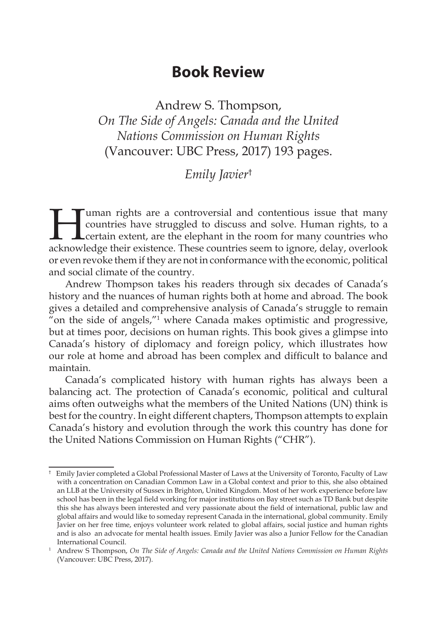## **Book Review**

Andrew S. Thompson, *On The Side of Angels: Canada and the United Nations Commission on Human Rights*  (Vancouver: UBC Press, 2017) 193 pages.

## *Emily Javier*†

Tuman rights are a controversial and contentious issue that many<br>countries have struggled to discuss and solve. Human rights, to a<br>certain extent, are the elephant in the room for many countries who<br>acknowledge their exist countries have struggled to discuss and solve. Human rights, to a certain extent, are the elephant in the room for many countries who acknowledge their existence. These countries seem to ignore, delay, overlook or even revoke them if they are not in conformance with the economic, political and social climate of the country.

Andrew Thompson takes his readers through six decades of Canada's history and the nuances of human rights both at home and abroad. The book gives a detailed and comprehensive analysis of Canada's struggle to remain " on the side of angels,"<sup>1</sup> where Canada makes optimistic and progressive, but at times poor, decisions on human rights. This book gives a glimpse into Canada's history of diplomacy and foreign policy, which illustrates how our role at home and abroad has been complex and difficult to balance and maintain.

Canada's complicated history with human rights has always been a balancing act. The protection of Canada's economic, political and cultural aims often outweighs what the members of the United Nations (UN) think is best for the country. In eight different chapters, Thompson attempts to explain Canada's history and evolution through the work this country has done for the United Nations Commission on Human Rights ("CHR").

<sup>†</sup> Emily Javier completed a Global Professional Master of Laws at the University of Toronto, Faculty of Law with a concentration on Canadian Common Law in a Global context and prior to this, she also obtained an LLB at the University of Sussex in Brighton, United Kingdom. Most of her work experience before law school has been in the legal field working for major institutions on Bay street such as TD Bank but despite this she has always been interested and very passionate about the field of international, public law and global affairs and would like to someday represent Canada in the international, global community. Emily Javier on her free time, enjoys volunteer work related to global affairs, social justice and human rights and is also an advocate for mental health issues. Emily Javier was also a Junior Fellow for the Canadian International Council.

<sup>&</sup>lt;sup>1</sup> Andrew S Thompson, *On The Side of Angels: Canada and the United Nations Commission on Human Rights* (Vancouver: UBC Press, 2017).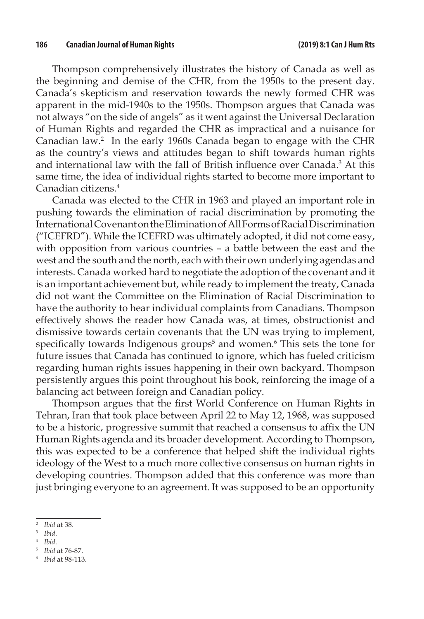Thompson comprehensively illustrates the history of Canada as well as the beginning and demise of the CHR, from the 1950s to the present day. Canada's skepticism and reservation towards the newly formed CHR was apparent in the mid-1940s to the 1950s. Thompson argues that Canada was not always "on the side of angels" as it went against the Universal Declaration of Human Rights and regarded the CHR as impractical and a nuisance for Canadian law.<sup>2</sup> In the early 1960s Canada began to engage with the CHR as the country's views and attitudes began to shift towards human rights and international law with the fall of British influence over Canada.<sup>3</sup> At this same time, the idea of individual rights started to become more important to Canadian citizens.4

Canada was elected to the CHR in 1963 and played an important role in pushing towards the elimination of racial discrimination by promoting the International Covenant on the Elimination of All Forms of Racial Discrimination ("ICEFRD"). While the ICEFRD was ultimately adopted, it did not come easy, with opposition from various countries – a battle between the east and the west and the south and the north, each with their own underlying agendas and interests. Canada worked hard to negotiate the adoption of the covenant and it is an important achievement but, while ready to implement the treaty, Canada did not want the Committee on the Elimination of Racial Discrimination to have the authority to hear individual complaints from Canadians. Thompson effectively shows the reader how Canada was, at times, obstructionist and dismissive towards certain covenants that the UN was trying to implement, specifically towards Indigenous groups<sup>5</sup> and women.<sup>6</sup> This sets the tone for future issues that Canada has continued to ignore, which has fueled criticism regarding human rights issues happening in their own backyard. Thompson persistently argues this point throughout his book, reinforcing the image of a balancing act between foreign and Canadian policy.

Thompson argues that the first World Conference on Human Rights in Tehran, Iran that took place between April 22 to May 12, 1968, was supposed to be a historic, progressive summit that reached a consensus to affix the UN Human Rights agenda and its broader development. According to Thompson, this was expected to be a conference that helped shift the individual rights ideology of the West to a much more collective consensus on human rights in developing countries. Thompson added that this conference was more than just bringing everyone to an agreement. It was supposed to be an opportunity

<sup>2</sup> *Ibid* at 38.

<sup>3</sup> *Ibid*.

<sup>4</sup> *Ibid*.

<sup>5</sup> *Ibid* at 76-87.

<sup>6</sup> *Ibid* at 98-113.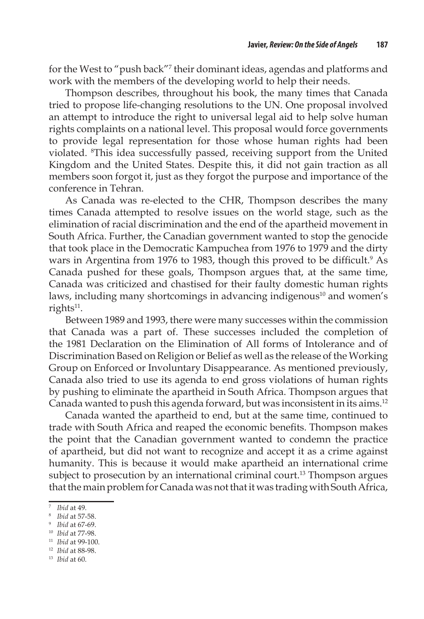for the West to "push back"<sup>7</sup> their dominant ideas, agendas and platforms and work with the members of the developing world to help their needs.

Thompson describes, throughout his book, the many times that Canada tried to propose life-changing resolutions to the UN. One proposal involved an attempt to introduce the right to universal legal aid to help solve human rights complaints on a national level. This proposal would force governments to provide legal representation for those whose human rights had been violated. 8 This idea successfully passed, receiving support from the United Kingdom and the United States. Despite this, it did not gain traction as all members soon forgot it, just as they forgot the purpose and importance of the conference in Tehran.

As Canada was re-elected to the CHR, Thompson describes the many times Canada attempted to resolve issues on the world stage, such as the elimination of racial discrimination and the end of the apartheid movement in South Africa. Further, the Canadian government wanted to stop the genocide that took place in the Democratic Kampuchea from 1976 to 1979 and the dirty wars in Argentina from 1976 to 1983, though this proved to be difficult.<sup>9</sup> As Canada pushed for these goals, Thompson argues that, at the same time, Canada was criticized and chastised for their faulty domestic human rights laws, including many shortcomings in advancing indigenous<sup>10</sup> and women's rights $11$ .

Between 1989 and 1993, there were many successes within the commission that Canada was a part of. These successes included the completion of the 1981 Declaration on the Elimination of All forms of Intolerance and of Discrimination Based on Religion or Belief as well as the release of the Working Group on Enforced or Involuntary Disappearance. As mentioned previously, Canada also tried to use its agenda to end gross violations of human rights by pushing to eliminate the apartheid in South Africa. Thompson argues that Canada wanted to push this agenda forward, but was inconsistent in its aims.12

Canada wanted the apartheid to end, but at the same time, continued to trade with South Africa and reaped the economic benefits. Thompson makes the point that the Canadian government wanted to condemn the practice of apartheid, but did not want to recognize and accept it as a crime against humanity. This is because it would make apartheid an international crime subject to prosecution by an international criminal court.<sup>13</sup> Thompson argues that the main problem for Canada was not that it was trading with South Africa,

<sup>12</sup> *Ibid* at 88-98.

<sup>7</sup> *Ibid* at 49.

<sup>8</sup> *Ibid* at 57-58.

<sup>9</sup> *Ibid* at 67-69.

<sup>10</sup> *Ibid* at 77-98.

<sup>11</sup> *Ibid* at 99-100.

<sup>13</sup> *Ibid* at 60.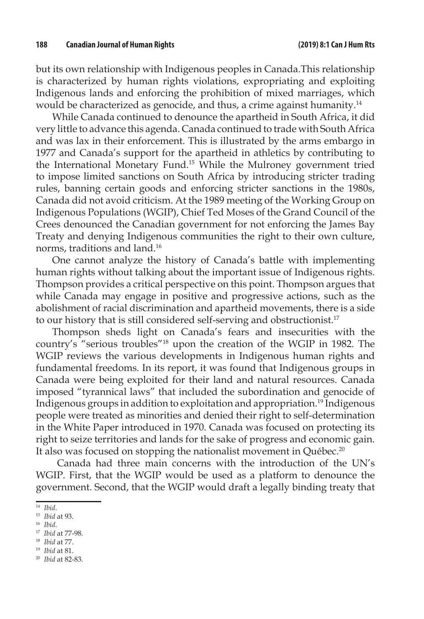but its own relationship with Indigenous peoples in Canada.This relationship is characterized by human rights violations, expropriating and exploiting Indigenous lands and enforcing the prohibition of mixed marriages, which would be characterized as genocide, and thus, a crime against humanity.14

While Canada continued to denounce the apartheid in South Africa, it did very little to advance this agenda. Canada continued to trade with South Africa and was lax in their enforcement. This is illustrated by the arms embargo in 1977 and Canada's support for the apartheid in athletics by contributing to the International Monetary Fund.15 While the Mulroney government tried to impose limited sanctions on South Africa by introducing stricter trading rules, banning certain goods and enforcing stricter sanctions in the 1980s, Canada did not avoid criticism. At the 1989 meeting of the Working Group on Indigenous Populations (WGIP), Chief Ted Moses of the Grand Council of the Crees denounced the Canadian government for not enforcing the James Bay Treaty and denying Indigenous communities the right to their own culture, norms, traditions and land.16

One cannot analyze the history of Canada's battle with implementing human rights without talking about the important issue of Indigenous rights. Thompson provides a critical perspective on this point. Thompson argues that while Canada may engage in positive and progressive actions, such as the abolishment of racial discrimination and apartheid movements, there is a side to our history that is still considered self-serving and obstructionist.<sup>17</sup>

Thompson sheds light on Canada's fears and insecurities with the country's "serious troubles"18 upon the creation of the WGIP in 1982. The WGIP reviews the various developments in Indigenous human rights and fundamental freedoms. In its report, it was found that Indigenous groups in Canada were being exploited for their land and natural resources. Canada imposed "tyrannical laws" that included the subordination and genocide of Indigenous groups in addition to exploitation and appropriation.19 Indigenous people were treated as minorities and denied their right to self-determination in the White Paper introduced in 1970. Canada was focused on protecting its right to seize territories and lands for the sake of progress and economic gain. It also was focused on stopping the nationalist movement in Québec.<sup>20</sup>

 Canada had three main concerns with the introduction of the UN's WGIP. First, that the WGIP would be used as a platform to denounce the government. Second, that the WGIP would draft a legally binding treaty that

<sup>18</sup> *Ibid* at 77.

<sup>14</sup> *Ibid*.

<sup>15</sup> *Ibid* at 93.

<sup>16</sup> *Ibid*.

<sup>17</sup> *Ibid* at 77-98.

<sup>19</sup> *Ibid* at 81.

<sup>20</sup> *Ibid* at 82-83.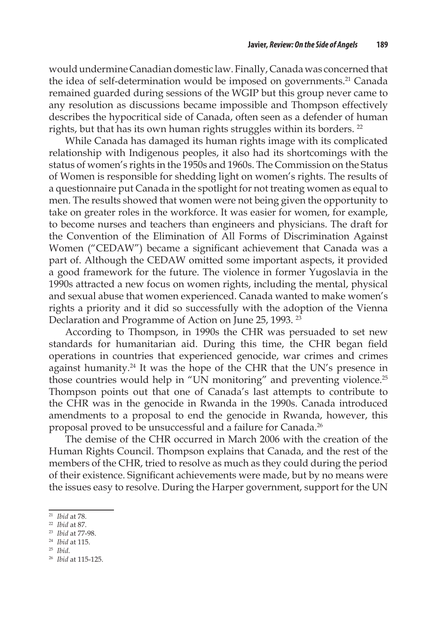would undermine Canadian domestic law. Finally, Canada was concerned that the idea of self-determination would be imposed on governments.<sup>21</sup> Canada remained guarded during sessions of the WGIP but this group never came to any resolution as discussions became impossible and Thompson effectively describes the hypocritical side of Canada, often seen as a defender of human rights, but that has its own human rights struggles within its borders.<sup>22</sup>

While Canada has damaged its human rights image with its complicated relationship with Indigenous peoples, it also had its shortcomings with the status of women's rights in the 1950s and 1960s. The Commission on the Status of Women is responsible for shedding light on women's rights. The results of a questionnaire put Canada in the spotlight for not treating women as equal to men. The results showed that women were not being given the opportunity to take on greater roles in the workforce. It was easier for women, for example, to become nurses and teachers than engineers and physicians. The draft for the Convention of the Elimination of All Forms of Discrimination Against Women ("CEDAW") became a significant achievement that Canada was a part of. Although the CEDAW omitted some important aspects, it provided a good framework for the future. The violence in former Yugoslavia in the 1990s attracted a new focus on women rights, including the mental, physical and sexual abuse that women experienced. Canada wanted to make women's rights a priority and it did so successfully with the adoption of the Vienna Declaration and Programme of Action on June 25, 1993. <sup>23</sup>

According to Thompson, in 1990s the CHR was persuaded to set new standards for humanitarian aid. During this time, the CHR began field operations in countries that experienced genocide, war crimes and crimes against humanity.<sup>24</sup> It was the hope of the CHR that the UN's presence in those countries would help in "UN monitoring" and preventing violence.<sup>25</sup> Thompson points out that one of Canada's last attempts to contribute to the CHR was in the genocide in Rwanda in the 1990s. Canada introduced amendments to a proposal to end the genocide in Rwanda, however, this proposal proved to be unsuccessful and a failure for Canada.<sup>26</sup>

The demise of the CHR occurred in March 2006 with the creation of the Human Rights Council. Thompson explains that Canada, and the rest of the members of the CHR, tried to resolve as much as they could during the period of their existence. Significant achievements were made, but by no means were the issues easy to resolve. During the Harper government, support for the UN

<sup>21</sup> *Ibid* at 78.

<sup>22</sup> *Ibid* at 87.

<sup>23</sup> *Ibid* at 77-98.

<sup>24</sup> *Ibid* at 115.

<sup>25</sup> *Ibid*.

<sup>26</sup> *Ibid* at 115-125.